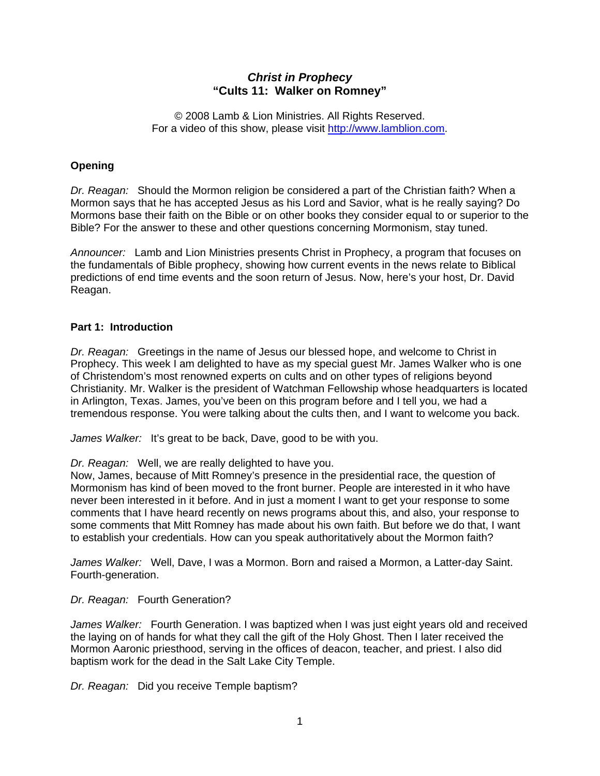# *Christ in Prophecy*  **"Cults 11: Walker on Romney"**

© 2008 Lamb & Lion Ministries. All Rights Reserved. For a video of this show, please visit [http://www.lamblion.com.](http://www.lamblion.com/)

## **Opening**

*Dr. Reagan:* Should the Mormon religion be considered a part of the Christian faith? When a Mormon says that he has accepted Jesus as his Lord and Savior, what is he really saying? Do Mormons base their faith on the Bible or on other books they consider equal to or superior to the Bible? For the answer to these and other questions concerning Mormonism, stay tuned.

*Announcer:* Lamb and Lion Ministries presents Christ in Prophecy, a program that focuses on the fundamentals of Bible prophecy, showing how current events in the news relate to Biblical predictions of end time events and the soon return of Jesus. Now, here's your host, Dr. David Reagan.

## **Part 1: Introduction**

*Dr. Reagan:* Greetings in the name of Jesus our blessed hope, and welcome to Christ in Prophecy. This week I am delighted to have as my special guest Mr. James Walker who is one of Christendom's most renowned experts on cults and on other types of religions beyond Christianity. Mr. Walker is the president of Watchman Fellowship whose headquarters is located in Arlington, Texas. James, you've been on this program before and I tell you, we had a tremendous response. You were talking about the cults then, and I want to welcome you back.

*James Walker:* It's great to be back, Dave, good to be with you.

*Dr. Reagan:* Well, we are really delighted to have you.

Now, James, because of Mitt Romney's presence in the presidential race, the question of Mormonism has kind of been moved to the front burner. People are interested in it who have never been interested in it before. And in just a moment I want to get your response to some comments that I have heard recently on news programs about this, and also, your response to some comments that Mitt Romney has made about his own faith. But before we do that, I want to establish your credentials. How can you speak authoritatively about the Mormon faith?

*James Walker:* Well, Dave, I was a Mormon. Born and raised a Mormon, a Latter-day Saint. Fourth-generation.

*Dr. Reagan:* Fourth Generation?

*James Walker:* Fourth Generation. I was baptized when I was just eight years old and received the laying on of hands for what they call the gift of the Holy Ghost. Then I later received the Mormon Aaronic priesthood, serving in the offices of deacon, teacher, and priest. I also did baptism work for the dead in the Salt Lake City Temple.

*Dr. Reagan:* Did you receive Temple baptism?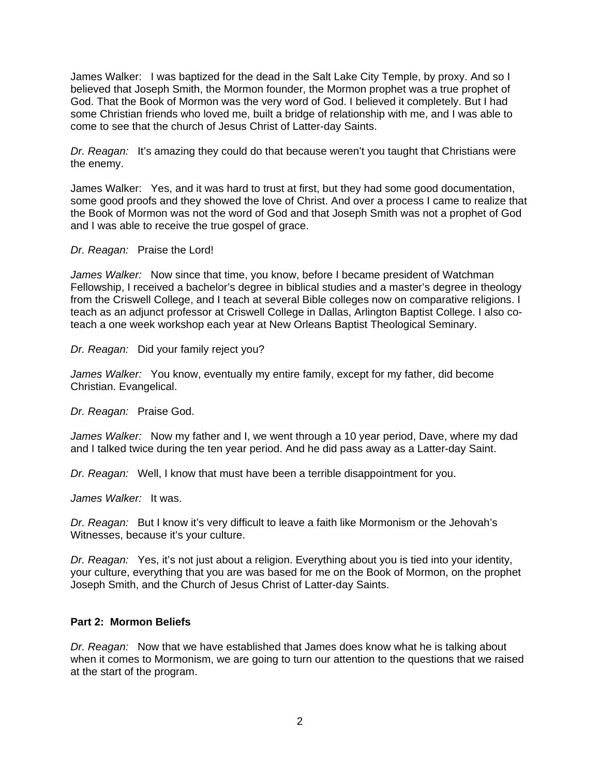James Walker: I was baptized for the dead in the Salt Lake City Temple, by proxy. And so I believed that Joseph Smith, the Mormon founder, the Mormon prophet was a true prophet of God. That the Book of Mormon was the very word of God. I believed it completely. But I had some Christian friends who loved me, built a bridge of relationship with me, and I was able to come to see that the church of Jesus Christ of Latter-day Saints.

*Dr. Reagan:* It's amazing they could do that because weren't you taught that Christians were the enemy.

James Walker: Yes, and it was hard to trust at first, but they had some good documentation, some good proofs and they showed the love of Christ. And over a process I came to realize that the Book of Mormon was not the word of God and that Joseph Smith was not a prophet of God and I was able to receive the true gospel of grace.

#### *Dr. Reagan:* Praise the Lord!

*James Walker:* Now since that time, you know, before I became president of Watchman Fellowship, I received a bachelor's degree in biblical studies and a master's degree in theology from the Criswell College, and I teach at several Bible colleges now on comparative religions. I teach as an adjunct professor at Criswell College in Dallas, Arlington Baptist College. I also coteach a one week workshop each year at New Orleans Baptist Theological Seminary.

### *Dr. Reagan:* Did your family reject you?

*James Walker:* You know, eventually my entire family, except for my father, did become Christian. Evangelical.

*Dr. Reagan:* Praise God.

*James Walker:* Now my father and I, we went through a 10 year period, Dave, where my dad and I talked twice during the ten year period. And he did pass away as a Latter-day Saint.

*Dr. Reagan:* Well, I know that must have been a terrible disappointment for you.

*James Walker:* It was.

*Dr. Reagan:* But I know it's very difficult to leave a faith like Mormonism or the Jehovah's Witnesses, because it's your culture.

*Dr. Reagan:* Yes, it's not just about a religion. Everything about you is tied into your identity, your culture, everything that you are was based for me on the Book of Mormon, on the prophet Joseph Smith, and the Church of Jesus Christ of Latter-day Saints.

## **Part 2: Mormon Beliefs**

*Dr. Reagan:* Now that we have established that James does know what he is talking about when it comes to Mormonism, we are going to turn our attention to the questions that we raised at the start of the program.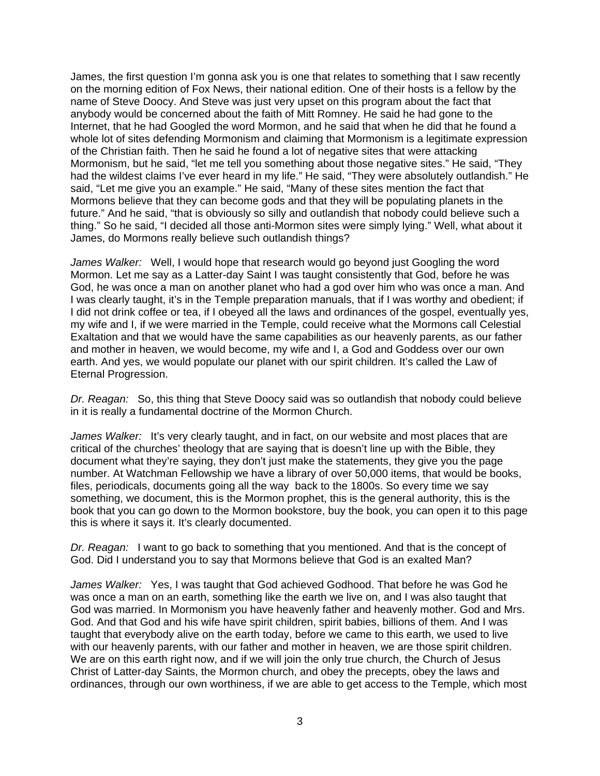James, the first question I'm gonna ask you is one that relates to something that I saw recently on the morning edition of Fox News, their national edition. One of their hosts is a fellow by the name of Steve Doocy. And Steve was just very upset on this program about the fact that anybody would be concerned about the faith of Mitt Romney. He said he had gone to the Internet, that he had Googled the word Mormon, and he said that when he did that he found a whole lot of sites defending Mormonism and claiming that Mormonism is a legitimate expression of the Christian faith. Then he said he found a lot of negative sites that were attacking Mormonism, but he said, "let me tell you something about those negative sites." He said, "They had the wildest claims I've ever heard in my life." He said, "They were absolutely outlandish." He said, "Let me give you an example." He said, "Many of these sites mention the fact that Mormons believe that they can become gods and that they will be populating planets in the future." And he said, "that is obviously so silly and outlandish that nobody could believe such a thing." So he said, "I decided all those anti-Mormon sites were simply lying." Well, what about it James, do Mormons really believe such outlandish things?

*James Walker:* Well, I would hope that research would go beyond just Googling the word Mormon. Let me say as a Latter-day Saint I was taught consistently that God, before he was God, he was once a man on another planet who had a god over him who was once a man. And I was clearly taught, it's in the Temple preparation manuals, that if I was worthy and obedient; if I did not drink coffee or tea, if I obeyed all the laws and ordinances of the gospel, eventually yes, my wife and I, if we were married in the Temple, could receive what the Mormons call Celestial Exaltation and that we would have the same capabilities as our heavenly parents, as our father and mother in heaven, we would become, my wife and I, a God and Goddess over our own earth. And yes, we would populate our planet with our spirit children. It's called the Law of Eternal Progression.

*Dr. Reagan:* So, this thing that Steve Doocy said was so outlandish that nobody could believe in it is really a fundamental doctrine of the Mormon Church.

*James Walker:* It's very clearly taught, and in fact, on our website and most places that are critical of the churches' theology that are saying that is doesn't line up with the Bible, they document what they're saying, they don't just make the statements, they give you the page number. At Watchman Fellowship we have a library of over 50,000 items, that would be books, files, periodicals, documents going all the way back to the 1800s. So every time we say something, we document, this is the Mormon prophet, this is the general authority, this is the book that you can go down to the Mormon bookstore, buy the book, you can open it to this page this is where it says it. It's clearly documented.

*Dr. Reagan:* I want to go back to something that you mentioned. And that is the concept of God. Did I understand you to say that Mormons believe that God is an exalted Man?

*James Walker:* Yes, I was taught that God achieved Godhood. That before he was God he was once a man on an earth, something like the earth we live on, and I was also taught that God was married. In Mormonism you have heavenly father and heavenly mother. God and Mrs. God. And that God and his wife have spirit children, spirit babies, billions of them. And I was taught that everybody alive on the earth today, before we came to this earth, we used to live with our heavenly parents, with our father and mother in heaven, we are those spirit children. We are on this earth right now, and if we will join the only true church, the Church of Jesus Christ of Latter-day Saints, the Mormon church, and obey the precepts, obey the laws and ordinances, through our own worthiness, if we are able to get access to the Temple, which most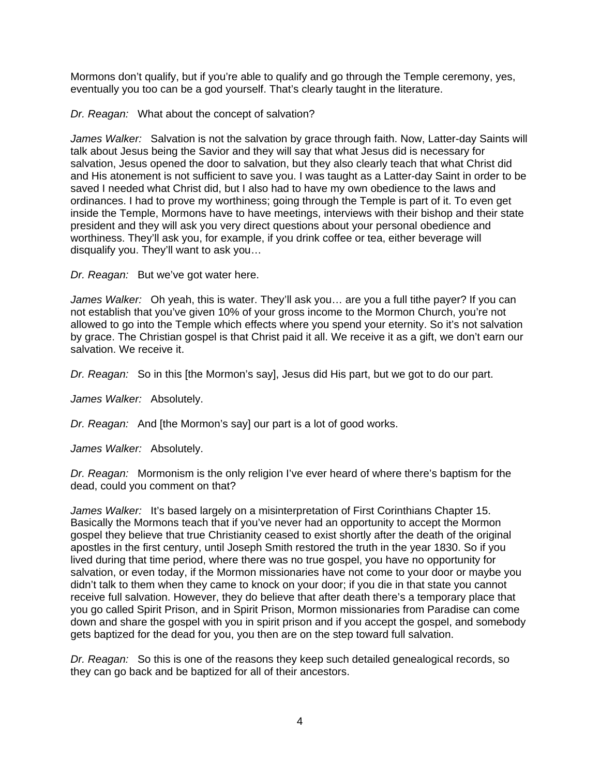Mormons don't qualify, but if you're able to qualify and go through the Temple ceremony, yes, eventually you too can be a god yourself. That's clearly taught in the literature.

*Dr. Reagan:* What about the concept of salvation?

*James Walker:* Salvation is not the salvation by grace through faith. Now, Latter-day Saints will talk about Jesus being the Savior and they will say that what Jesus did is necessary for salvation, Jesus opened the door to salvation, but they also clearly teach that what Christ did and His atonement is not sufficient to save you. I was taught as a Latter-day Saint in order to be saved I needed what Christ did, but I also had to have my own obedience to the laws and ordinances. I had to prove my worthiness; going through the Temple is part of it. To even get inside the Temple, Mormons have to have meetings, interviews with their bishop and their state president and they will ask you very direct questions about your personal obedience and worthiness. They'll ask you, for example, if you drink coffee or tea, either beverage will disqualify you. They'll want to ask you…

*Dr. Reagan:* But we've got water here.

*James Walker:* Oh yeah, this is water. They'll ask you… are you a full tithe payer? If you can not establish that you've given 10% of your gross income to the Mormon Church, you're not allowed to go into the Temple which effects where you spend your eternity. So it's not salvation by grace. The Christian gospel is that Christ paid it all. We receive it as a gift, we don't earn our salvation. We receive it.

*Dr. Reagan:* So in this [the Mormon's say], Jesus did His part, but we got to do our part.

*James Walker:* Absolutely.

*Dr. Reagan:* And [the Mormon's say] our part is a lot of good works.

*James Walker:* Absolutely.

*Dr. Reagan:* Mormonism is the only religion I've ever heard of where there's baptism for the dead, could you comment on that?

*James Walker:* It's based largely on a misinterpretation of First Corinthians Chapter 15. Basically the Mormons teach that if you've never had an opportunity to accept the Mormon gospel they believe that true Christianity ceased to exist shortly after the death of the original apostles in the first century, until Joseph Smith restored the truth in the year 1830. So if you lived during that time period, where there was no true gospel, you have no opportunity for salvation, or even today, if the Mormon missionaries have not come to your door or maybe you didn't talk to them when they came to knock on your door; if you die in that state you cannot receive full salvation. However, they do believe that after death there's a temporary place that you go called Spirit Prison, and in Spirit Prison, Mormon missionaries from Paradise can come down and share the gospel with you in spirit prison and if you accept the gospel, and somebody gets baptized for the dead for you, you then are on the step toward full salvation.

*Dr. Reagan:* So this is one of the reasons they keep such detailed genealogical records, so they can go back and be baptized for all of their ancestors.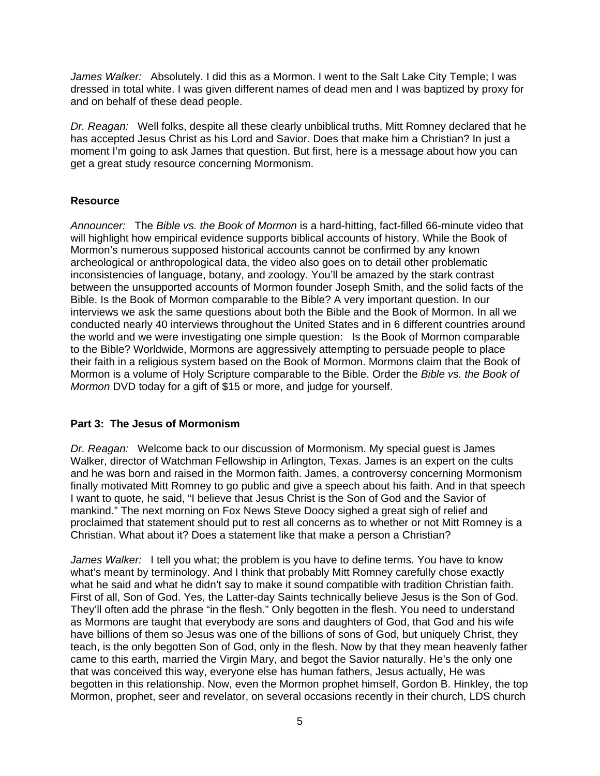*James Walker:* Absolutely. I did this as a Mormon. I went to the Salt Lake City Temple; I was dressed in total white. I was given different names of dead men and I was baptized by proxy for and on behalf of these dead people.

*Dr. Reagan:* Well folks, despite all these clearly unbiblical truths, Mitt Romney declared that he has accepted Jesus Christ as his Lord and Savior. Does that make him a Christian? In just a moment I'm going to ask James that question. But first, here is a message about how you can get a great study resource concerning Mormonism.

# **Resource**

*Announcer:* The *Bible vs. the Book of Mormon* is a hard-hitting, fact-filled 66-minute video that will highlight how empirical evidence supports biblical accounts of history. While the Book of Mormon's numerous supposed historical accounts cannot be confirmed by any known archeological or anthropological data, the video also goes on to detail other problematic inconsistencies of language, botany, and zoology. You'll be amazed by the stark contrast between the unsupported accounts of Mormon founder Joseph Smith, and the solid facts of the Bible. Is the Book of Mormon comparable to the Bible? A very important question. In our interviews we ask the same questions about both the Bible and the Book of Mormon. In all we conducted nearly 40 interviews throughout the United States and in 6 different countries around the world and we were investigating one simple question: Is the Book of Mormon comparable to the Bible? Worldwide, Mormons are aggressively attempting to persuade people to place their faith in a religious system based on the Book of Mormon. Mormons claim that the Book of Mormon is a volume of Holy Scripture comparable to the Bible. Order the *Bible vs. the Book of Mormon* DVD today for a gift of \$15 or more, and judge for yourself.

## **Part 3: The Jesus of Mormonism**

*Dr. Reagan:* Welcome back to our discussion of Mormonism. My special guest is James Walker, director of Watchman Fellowship in Arlington, Texas. James is an expert on the cults and he was born and raised in the Mormon faith. James, a controversy concerning Mormonism finally motivated Mitt Romney to go public and give a speech about his faith. And in that speech I want to quote, he said, "I believe that Jesus Christ is the Son of God and the Savior of mankind." The next morning on Fox News Steve Doocy sighed a great sigh of relief and proclaimed that statement should put to rest all concerns as to whether or not Mitt Romney is a Christian. What about it? Does a statement like that make a person a Christian?

*James Walker:* I tell you what; the problem is you have to define terms. You have to know what's meant by terminology. And I think that probably Mitt Romney carefully chose exactly what he said and what he didn't say to make it sound compatible with tradition Christian faith. First of all, Son of God. Yes, the Latter-day Saints technically believe Jesus is the Son of God. They'll often add the phrase "in the flesh." Only begotten in the flesh. You need to understand as Mormons are taught that everybody are sons and daughters of God, that God and his wife have billions of them so Jesus was one of the billions of sons of God, but uniquely Christ, they teach, is the only begotten Son of God, only in the flesh. Now by that they mean heavenly father came to this earth, married the Virgin Mary, and begot the Savior naturally. He's the only one that was conceived this way, everyone else has human fathers, Jesus actually, He was begotten in this relationship. Now, even the Mormon prophet himself, Gordon B. Hinkley, the top Mormon, prophet, seer and revelator, on several occasions recently in their church, LDS church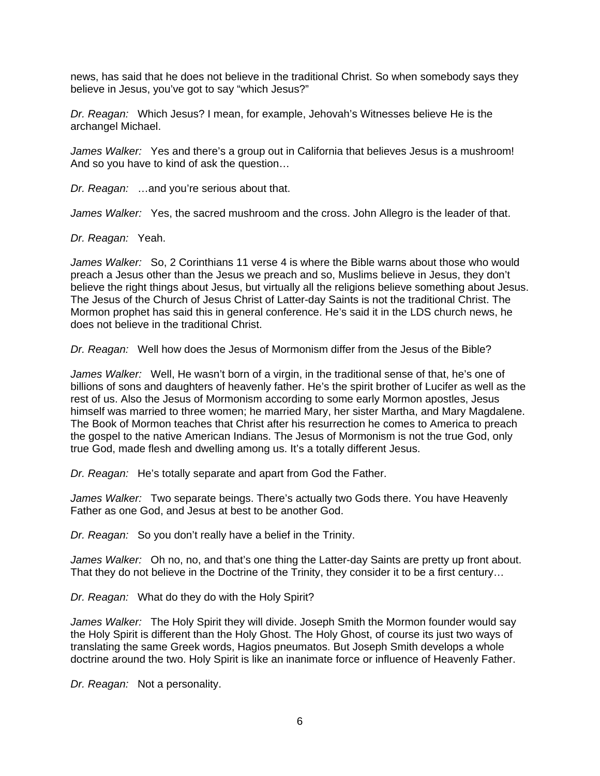news, has said that he does not believe in the traditional Christ. So when somebody says they believe in Jesus, you've got to say "which Jesus?"

*Dr. Reagan:* Which Jesus? I mean, for example, Jehovah's Witnesses believe He is the archangel Michael.

*James Walker:* Yes and there's a group out in California that believes Jesus is a mushroom! And so you have to kind of ask the question…

*Dr. Reagan:* …and you're serious about that.

*James Walker:* Yes, the sacred mushroom and the cross. John Allegro is the leader of that.

*Dr. Reagan:* Yeah.

*James Walker:* So, 2 Corinthians 11 verse 4 is where the Bible warns about those who would preach a Jesus other than the Jesus we preach and so, Muslims believe in Jesus, they don't believe the right things about Jesus, but virtually all the religions believe something about Jesus. The Jesus of the Church of Jesus Christ of Latter-day Saints is not the traditional Christ. The Mormon prophet has said this in general conference. He's said it in the LDS church news, he does not believe in the traditional Christ.

*Dr. Reagan:* Well how does the Jesus of Mormonism differ from the Jesus of the Bible?

*James Walker:* Well, He wasn't born of a virgin, in the traditional sense of that, he's one of billions of sons and daughters of heavenly father. He's the spirit brother of Lucifer as well as the rest of us. Also the Jesus of Mormonism according to some early Mormon apostles, Jesus himself was married to three women; he married Mary, her sister Martha, and Mary Magdalene. The Book of Mormon teaches that Christ after his resurrection he comes to America to preach the gospel to the native American Indians. The Jesus of Mormonism is not the true God, only true God, made flesh and dwelling among us. It's a totally different Jesus.

*Dr. Reagan:* He's totally separate and apart from God the Father.

*James Walker:* Two separate beings. There's actually two Gods there. You have Heavenly Father as one God, and Jesus at best to be another God.

*Dr. Reagan:* So you don't really have a belief in the Trinity.

*James Walker:* Oh no, no, and that's one thing the Latter-day Saints are pretty up front about. That they do not believe in the Doctrine of the Trinity, they consider it to be a first century…

*Dr. Reagan:* What do they do with the Holy Spirit?

*James Walker:* The Holy Spirit they will divide. Joseph Smith the Mormon founder would say the Holy Spirit is different than the Holy Ghost. The Holy Ghost, of course its just two ways of translating the same Greek words, Hagios pneumatos. But Joseph Smith develops a whole doctrine around the two. Holy Spirit is like an inanimate force or influence of Heavenly Father.

*Dr. Reagan:* Not a personality.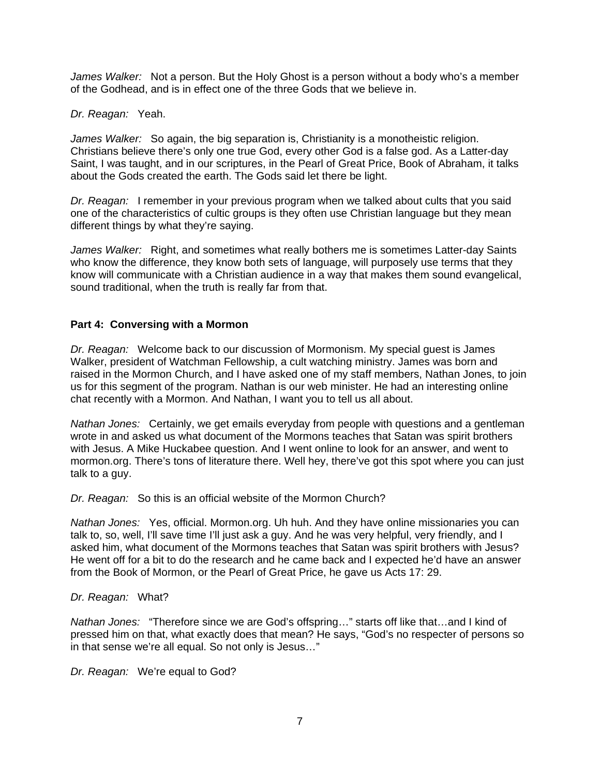*James Walker:* Not a person. But the Holy Ghost is a person without a body who's a member of the Godhead, and is in effect one of the three Gods that we believe in.

#### *Dr. Reagan:* Yeah.

*James Walker:* So again, the big separation is, Christianity is a monotheistic religion. Christians believe there's only one true God, every other God is a false god. As a Latter-day Saint, I was taught, and in our scriptures, in the Pearl of Great Price, Book of Abraham, it talks about the Gods created the earth. The Gods said let there be light.

*Dr. Reagan:* I remember in your previous program when we talked about cults that you said one of the characteristics of cultic groups is they often use Christian language but they mean different things by what they're saying.

*James Walker:* Right, and sometimes what really bothers me is sometimes Latter-day Saints who know the difference, they know both sets of language, will purposely use terms that they know will communicate with a Christian audience in a way that makes them sound evangelical, sound traditional, when the truth is really far from that.

#### **Part 4: Conversing with a Mormon**

*Dr. Reagan:* Welcome back to our discussion of Mormonism. My special guest is James Walker, president of Watchman Fellowship, a cult watching ministry. James was born and raised in the Mormon Church, and I have asked one of my staff members, Nathan Jones, to join us for this segment of the program. Nathan is our web minister. He had an interesting online chat recently with a Mormon. And Nathan, I want you to tell us all about.

*Nathan Jones:* Certainly, we get emails everyday from people with questions and a gentleman wrote in and asked us what document of the Mormons teaches that Satan was spirit brothers with Jesus. A Mike Huckabee question. And I went online to look for an answer, and went to mormon.org. There's tons of literature there. Well hey, there've got this spot where you can just talk to a guy.

*Dr. Reagan:* So this is an official website of the Mormon Church?

*Nathan Jones:* Yes, official. Mormon.org. Uh huh. And they have online missionaries you can talk to, so, well, I'll save time I'll just ask a guy. And he was very helpful, very friendly, and I asked him, what document of the Mormons teaches that Satan was spirit brothers with Jesus? He went off for a bit to do the research and he came back and I expected he'd have an answer from the Book of Mormon, or the Pearl of Great Price, he gave us Acts 17: 29.

#### *Dr. Reagan:* What?

*Nathan Jones:* "Therefore since we are God's offspring…" starts off like that…and I kind of pressed him on that, what exactly does that mean? He says, "God's no respecter of persons so in that sense we're all equal. So not only is Jesus…"

*Dr. Reagan:* We're equal to God?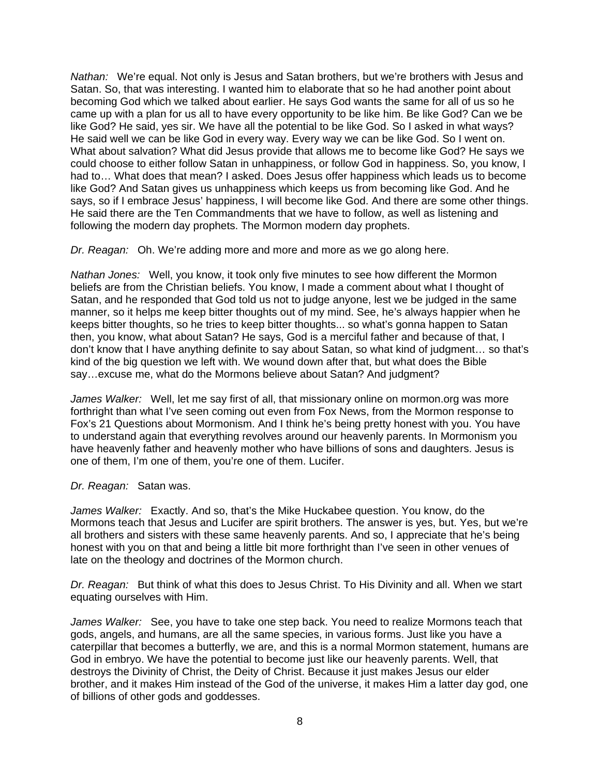*Nathan:* We're equal. Not only is Jesus and Satan brothers, but we're brothers with Jesus and Satan. So, that was interesting. I wanted him to elaborate that so he had another point about becoming God which we talked about earlier. He says God wants the same for all of us so he came up with a plan for us all to have every opportunity to be like him. Be like God? Can we be like God? He said, yes sir. We have all the potential to be like God. So I asked in what ways? He said well we can be like God in every way. Every way we can be like God. So I went on. What about salvation? What did Jesus provide that allows me to become like God? He says we could choose to either follow Satan in unhappiness, or follow God in happiness. So, you know, I had to… What does that mean? I asked. Does Jesus offer happiness which leads us to become like God? And Satan gives us unhappiness which keeps us from becoming like God. And he says, so if I embrace Jesus' happiness, I will become like God. And there are some other things. He said there are the Ten Commandments that we have to follow, as well as listening and following the modern day prophets. The Mormon modern day prophets.

*Dr. Reagan:* Oh. We're adding more and more and more as we go along here.

*Nathan Jones:* Well, you know, it took only five minutes to see how different the Mormon beliefs are from the Christian beliefs. You know, I made a comment about what I thought of Satan, and he responded that God told us not to judge anyone, lest we be judged in the same manner, so it helps me keep bitter thoughts out of my mind. See, he's always happier when he keeps bitter thoughts, so he tries to keep bitter thoughts... so what's gonna happen to Satan then, you know, what about Satan? He says, God is a merciful father and because of that, I don't know that I have anything definite to say about Satan, so what kind of judgment… so that's kind of the big question we left with. We wound down after that, but what does the Bible say…excuse me, what do the Mormons believe about Satan? And judgment?

*James Walker:* Well, let me say first of all, that missionary online on mormon.org was more forthright than what I've seen coming out even from Fox News, from the Mormon response to Fox's 21 Questions about Mormonism. And I think he's being pretty honest with you. You have to understand again that everything revolves around our heavenly parents. In Mormonism you have heavenly father and heavenly mother who have billions of sons and daughters. Jesus is one of them, I'm one of them, you're one of them. Lucifer.

## *Dr. Reagan:* Satan was.

*James Walker:* Exactly. And so, that's the Mike Huckabee question. You know, do the Mormons teach that Jesus and Lucifer are spirit brothers. The answer is yes, but. Yes, but we're all brothers and sisters with these same heavenly parents. And so, I appreciate that he's being honest with you on that and being a little bit more forthright than I've seen in other venues of late on the theology and doctrines of the Mormon church.

*Dr. Reagan:* But think of what this does to Jesus Christ. To His Divinity and all. When we start equating ourselves with Him.

*James Walker:* See, you have to take one step back. You need to realize Mormons teach that gods, angels, and humans, are all the same species, in various forms. Just like you have a caterpillar that becomes a butterfly, we are, and this is a normal Mormon statement, humans are God in embryo. We have the potential to become just like our heavenly parents. Well, that destroys the Divinity of Christ, the Deity of Christ. Because it just makes Jesus our elder brother, and it makes Him instead of the God of the universe, it makes Him a latter day god, one of billions of other gods and goddesses.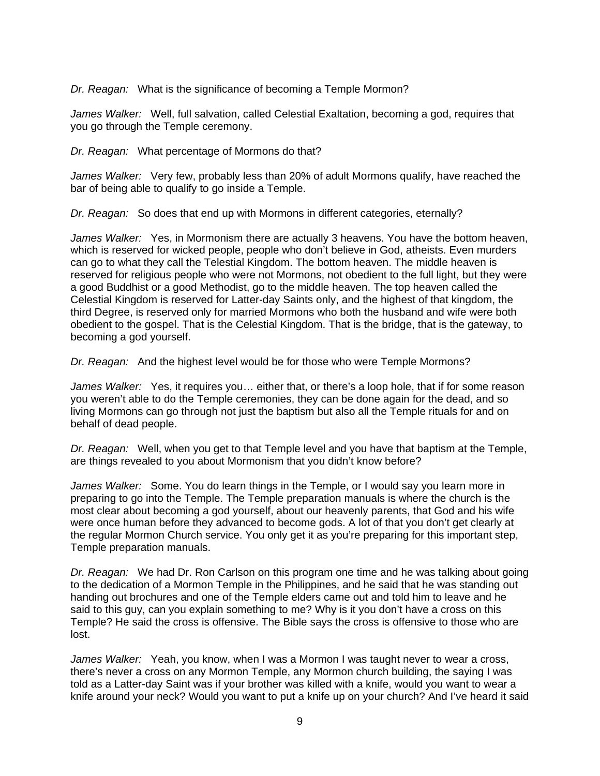*Dr. Reagan:* What is the significance of becoming a Temple Mormon?

*James Walker:* Well, full salvation, called Celestial Exaltation, becoming a god, requires that you go through the Temple ceremony.

*Dr. Reagan:* What percentage of Mormons do that?

*James Walker:* Very few, probably less than 20% of adult Mormons qualify, have reached the bar of being able to qualify to go inside a Temple.

*Dr. Reagan:* So does that end up with Mormons in different categories, eternally?

*James Walker:* Yes, in Mormonism there are actually 3 heavens. You have the bottom heaven, which is reserved for wicked people, people who don't believe in God, atheists. Even murders can go to what they call the Telestial Kingdom. The bottom heaven. The middle heaven is reserved for religious people who were not Mormons, not obedient to the full light, but they were a good Buddhist or a good Methodist, go to the middle heaven. The top heaven called the Celestial Kingdom is reserved for Latter-day Saints only, and the highest of that kingdom, the third Degree, is reserved only for married Mormons who both the husband and wife were both obedient to the gospel. That is the Celestial Kingdom. That is the bridge, that is the gateway, to becoming a god yourself.

*Dr. Reagan:* And the highest level would be for those who were Temple Mormons?

*James Walker:* Yes, it requires you… either that, or there's a loop hole, that if for some reason you weren't able to do the Temple ceremonies, they can be done again for the dead, and so living Mormons can go through not just the baptism but also all the Temple rituals for and on behalf of dead people.

*Dr. Reagan:* Well, when you get to that Temple level and you have that baptism at the Temple, are things revealed to you about Mormonism that you didn't know before?

*James Walker:* Some. You do learn things in the Temple, or I would say you learn more in preparing to go into the Temple. The Temple preparation manuals is where the church is the most clear about becoming a god yourself, about our heavenly parents, that God and his wife were once human before they advanced to become gods. A lot of that you don't get clearly at the regular Mormon Church service. You only get it as you're preparing for this important step, Temple preparation manuals.

*Dr. Reagan:* We had Dr. Ron Carlson on this program one time and he was talking about going to the dedication of a Mormon Temple in the Philippines, and he said that he was standing out handing out brochures and one of the Temple elders came out and told him to leave and he said to this guy, can you explain something to me? Why is it you don't have a cross on this Temple? He said the cross is offensive. The Bible says the cross is offensive to those who are lost.

*James Walker:* Yeah, you know, when I was a Mormon I was taught never to wear a cross, there's never a cross on any Mormon Temple, any Mormon church building, the saying I was told as a Latter-day Saint was if your brother was killed with a knife, would you want to wear a knife around your neck? Would you want to put a knife up on your church? And I've heard it said